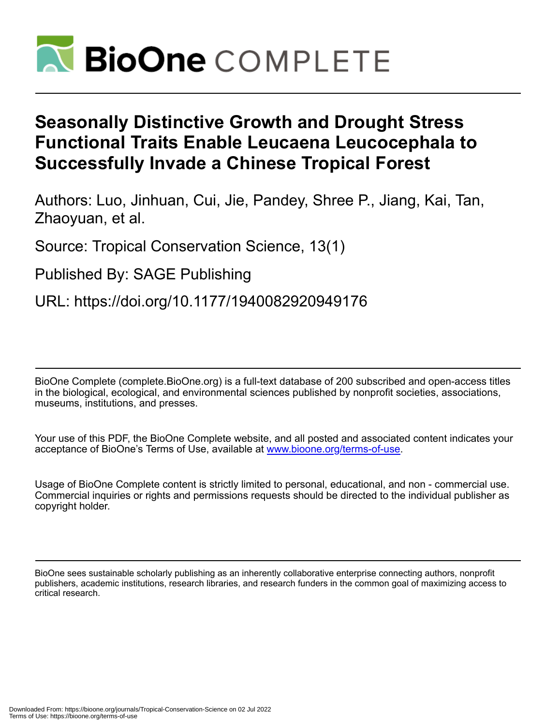

# **Seasonally Distinctive Growth and Drought Stress Functional Traits Enable Leucaena Leucocephala to Successfully Invade a Chinese Tropical Forest**

Authors: Luo, Jinhuan, Cui, Jie, Pandey, Shree P., Jiang, Kai, Tan, Zhaoyuan, et al.

Source: Tropical Conservation Science, 13(1)

Published By: SAGE Publishing

URL: https://doi.org/10.1177/1940082920949176

BioOne Complete (complete.BioOne.org) is a full-text database of 200 subscribed and open-access titles in the biological, ecological, and environmental sciences published by nonprofit societies, associations, museums, institutions, and presses.

Your use of this PDF, the BioOne Complete website, and all posted and associated content indicates your acceptance of BioOne's Terms of Use, available at www.bioone.org/terms-of-use.

Usage of BioOne Complete content is strictly limited to personal, educational, and non - commercial use. Commercial inquiries or rights and permissions requests should be directed to the individual publisher as copyright holder.

BioOne sees sustainable scholarly publishing as an inherently collaborative enterprise connecting authors, nonprofit publishers, academic institutions, research libraries, and research funders in the common goal of maximizing access to critical research.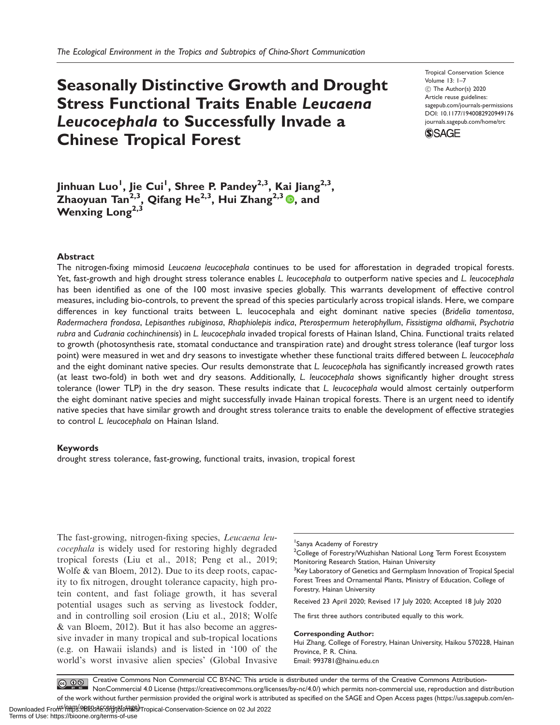## Seasonally Distinctive Growth and Drought Stress Functional Traits Enable Leucaena Leucocephala to Successfully Invade a Chinese Tropical Forest

Tropical Conservation Science Volume 13: 1–7 C The Author(s) 2020 Article reuse guidelines: [sagepub.com/journals-permissions](http://us.sagepub.com/en-us/journals-permissions) [DOI: 10.1177/1940082920949176](http://dx.doi.org/10.1177/1940082920949176) <journals.sagepub.com/home/trc>



Jinhuan Luo<sup>l</sup>, Jie Cui<sup>l</sup>, Shree P. Pandey<sup>2,3</sup>, Kai Jiang<sup>2,3</sup>, Zhaoyuan Tan<sup>2,3</sup>, Qifang He<sup>2,3</sup>, Hui Zhang<sup>2,3</sup> (0, and Wenxing Long<sup>2,3</sup>

#### Abstract

The nitrogen-fixing mimosid Leucaena leucocephala continues to be used for afforestation in degraded tropical forests. Yet, fast-growth and high drought stress tolerance enables L. leucocephala to outperform native species and L. leucocephala has been identified as one of the 100 most invasive species globally. This warrants development of effective control measures, including bio-controls, to prevent the spread of this species particularly across tropical islands. Here, we compare differences in key functional traits between L. leucocephala and eight dominant native species (Bridelia tomentosa, Radermachera frondosa, Lepisanthes rubiginosa, Rhaphiolepis indica, Pterospermum heterophyllum, Fissistigma oldhamii, Psychotria rubra and Cudrania cochinchinensis) in L. leucocephala invaded tropical forests of Hainan Island, China. Functional traits related to growth (photosynthesis rate, stomatal conductance and transpiration rate) and drought stress tolerance (leaf turgor loss point) were measured in wet and dry seasons to investigate whether these functional traits differed between L. leucocephala and the eight dominant native species. Our results demonstrate that L. leucocephala has significantly increased growth rates (at least two-fold) in both wet and dry seasons. Additionally, L. leucocephala shows significantly higher drought stress tolerance (lower TLP) in the dry season. These results indicate that L. leucocephala would almost certainly outperform the eight dominant native species and might successfully invade Hainan tropical forests. There is an urgent need to identify native species that have similar growth and drought stress tolerance traits to enable the development of effective strategies to control L. leucocephala on Hainan Island.

#### Keywords

drought stress tolerance, fast-growing, functional traits, invasion, tropical forest

The fast-growing, nitrogen-fixing species, *Leucaena leu*cocephala is widely used for restoring highly degraded tropical forests (Liu et al., 2018; Peng et al., 2019; Wolfe & van Bloem, 2012). Due to its deep roots, capacity to fix nitrogen, drought tolerance capacity, high protein content, and fast foliage growth, it has several potential usages such as serving as livestock fodder, and in controlling soil erosion (Liu et al., 2018; Wolfe & van Bloem, 2012). But it has also become an aggressive invader in many tropical and sub-tropical locations (e.g. on Hawaii islands) and is listed in '100 of the world's worst invasive alien species' (Global Invasive

1 Sanya Academy of Forestry

<sup>2</sup>College of Forestry/Wuzhishan National Long Term Forest Ecosystem Monitoring Research Station, Hainan University

<sup>3</sup>Key Laboratory of Genetics and Germplasm Innovation of Tropical Special Forest Trees and Ornamental Plants, Ministry of Education, College of Forestry, Hainan University

Received 23 April 2020; Revised 17 July 2020; Accepted 18 July 2020

The first three authors contributed equally to this work.

Corresponding Author:

Hui Zhang, College of Forestry, Hainan University, Haikou 570228, Hainan Province, P. R. China. Email: [993781@hainu.edu.cn](mailto:993781@hainu.edu.cn)

Creative Commons Non Commercial CC BY-NC: This article is distributed under the terms of the Creative Commons Attribution- $\bigcirc$   $\bigcirc$   $\bigcirc$ NonCommercial 4.0 License (https://creativecommons.org/licenses/by-nc/4.0/) which permits non-commercial use, reproduction and distribution of the work without further permission provided the original work is attributed as specified on the SAGE and Open Access pages (https://us.sagepub.com/en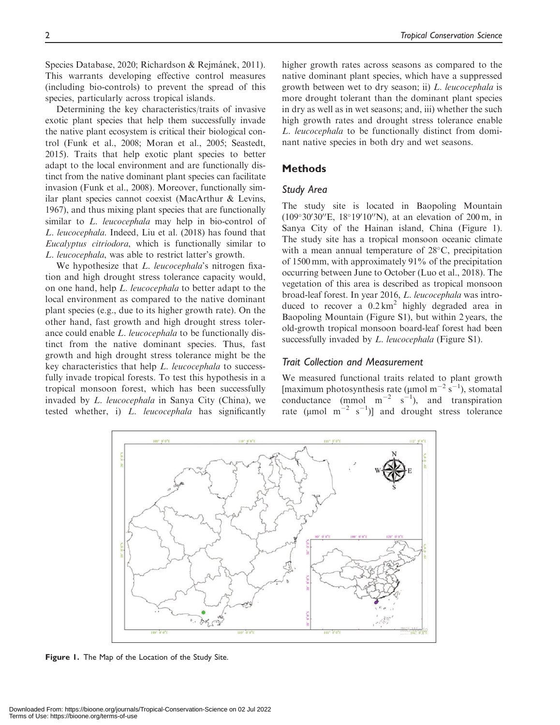Species Database, 2020; Richardson & Rejmánek, 2011). This warrants developing effective control measures (including bio-controls) to prevent the spread of this species, particularly across tropical islands.

Determining the key characteristics/traits of invasive exotic plant species that help them successfully invade the native plant ecosystem is critical their biological control (Funk et al., 2008; Moran et al., 2005; Seastedt, 2015). Traits that help exotic plant species to better adapt to the local environment and are functionally distinct from the native dominant plant species can facilitate invasion (Funk et al., 2008). Moreover, functionally similar plant species cannot coexist (MacArthur & Levins, 1967), and thus mixing plant species that are functionally similar to *L. leucocephala* may help in bio-control of L. leucocephala. Indeed, Liu et al. (2018) has found that Eucalyptus citriodora, which is functionally similar to L. leucocephala, was able to restrict latter's growth.

We hypothesize that *L. leucocephala's* nitrogen fixation and high drought stress tolerance capacity would, on one hand, help L. leucocephala to better adapt to the local environment as compared to the native dominant plant species (e.g., due to its higher growth rate). On the other hand, fast growth and high drought stress tolerance could enable L. leucocephala to be functionally distinct from the native dominant species. Thus, fast growth and high drought stress tolerance might be the key characteristics that help L. leucocephala to successfully invade tropical forests. To test this hypothesis in a tropical monsoon forest, which has been successfully invaded by L. leucocephala in Sanya City (China), we tested whether, i) L. leucocephala has significantly

higher growth rates across seasons as compared to the native dominant plant species, which have a suppressed growth between wet to dry season; ii) L. leucocephala is more drought tolerant than the dominant plant species in dry as well as in wet seasons; and, iii) whether the such high growth rates and drought stress tolerance enable L. leucocephala to be functionally distinct from dominant native species in both dry and wet seasons.

## **Methods**

## Study Area

The study site is located in Baopoling Mountain  $(109°30'30''E, 18°19'10''N)$ , at an elevation of 200 m, in Sanya City of the Hainan island, China (Figure 1). The study site has a tropical monsoon oceanic climate with a mean annual temperature of  $28^{\circ}$ C, precipitation of 1500 mm, with approximately 91% of the precipitation occurring between June to October (Luo et al., 2018). The vegetation of this area is described as tropical monsoon broad-leaf forest. In year 2016, L. leucocephala was introduced to recover a  $0.2 \text{ km}^2$  highly degraded area in Baopoling Mountain (Figure S1), but within 2 years, the old-growth tropical monsoon board-leaf forest had been successfully invaded by *L. leucocephala* (Figure S1).

#### Trait Collection and Measurement

We measured functional traits related to plant growth [maximum photosynthesis rate ( $\mu$ mol m<sup>-2</sup> s<sup>-1</sup>), stomatal conductance (mmol  $m^{-2}$  s<sup>-1</sup>), and transpiration rate ( $\mu$ mol m<sup>-2</sup> s<sup>-1</sup>)] and drought stress tolerance



Figure 1. The Map of the Location of the Study Site.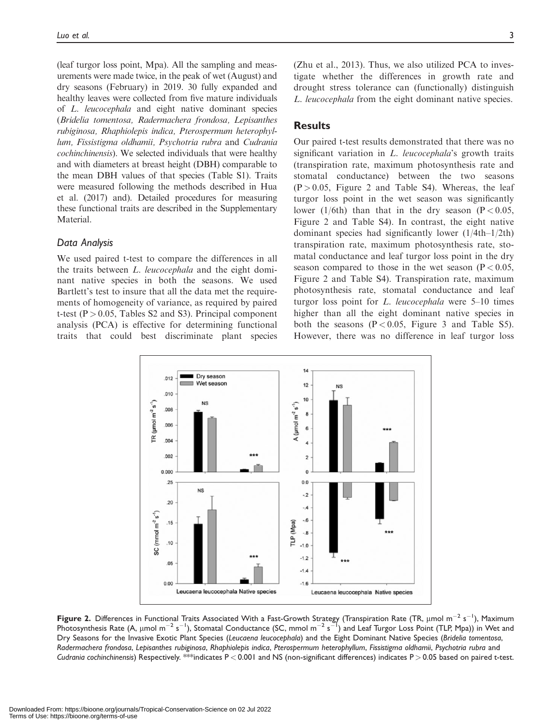(leaf turgor loss point, Mpa). All the sampling and measurements were made twice, in the peak of wet (August) and dry seasons (February) in 2019. 30 fully expanded and healthy leaves were collected from five mature individuals of L. leucocephala and eight native dominant species (Bridelia tomentosa, Radermachera frondosa, Lepisanthes rubiginosa, Rhaphiolepis indica, Pterospermum heterophyllum, Fissistigma oldhamii, Psychotria rubra and Cudrania cochinchinensis). We selected individuals that were healthy and with diameters at breast height (DBH) comparable to the mean DBH values of that species (Table S1). Traits were measured following the methods described in Hua et al. (2017) and). Detailed procedures for measuring these functional traits are described in the Supplementary Material.

## Data Analysis

We used paired t-test to compare the differences in all the traits between L. leucocephala and the eight dominant native species in both the seasons. We used Bartlett's test to insure that all the data met the requirements of homogeneity of variance, as required by paired t-test ( $P > 0.05$ , Tables S2 and S3). Principal component analysis (PCA) is effective for determining functional traits that could best discriminate plant species

(Zhu et al., 2013). Thus, we also utilized PCA to investigate whether the differences in growth rate and drought stress tolerance can (functionally) distinguish L. leucocephala from the eight dominant native species.

## **Results**

Our paired t-test results demonstrated that there was no significant variation in L. leucocephala's growth traits (transpiration rate, maximum photosynthesis rate and stomatal conductance) between the two seasons  $(P > 0.05$ , Figure 2 and Table S4). Whereas, the leaf turgor loss point in the wet season was significantly lower (1/6th) than that in the dry season ( $P < 0.05$ , Figure 2 and Table S4). In contrast, the eight native dominant species had significantly lower (1/4th–1/2th) transpiration rate, maximum photosynthesis rate, stomatal conductance and leaf turgor loss point in the dry season compared to those in the wet season ( $P < 0.05$ , Figure 2 and Table S4). Transpiration rate, maximum photosynthesis rate, stomatal conductance and leaf turgor loss point for L. leucocephala were 5–10 times higher than all the eight dominant native species in both the seasons  $(P < 0.05$ , Figure 3 and Table S5). However, there was no difference in leaf turgor loss



Figure 2. Differences in Functional Traits Associated With a Fast-Growth Strategy (Transpiration Rate (TR, µmol m $^{-2}$  s $^{-1}$ ), Maximum Photosynthesis Rate (A,  $\mu$ mol m $^{-2}$  s $^{-1}$ ), Stomatal Conductance (SC, mmol m $^{-2}$  s $^{-1}$ ) and Leaf Turgor Loss Point (TLP, Mpa)) in Wet and Dry Seasons for the Invasive Exotic Plant Species (Leucaena leucocephala) and the Eight Dominant Native Species (Bridelia tomentosa, Radermachera frondosa, Lepisanthes rubiginosa, Rhaphiolepis indica, Pterospermum heterophyllum, Fissistigma oldhamii, Psychotria rubra and Cudrania cochinchinensis) Respectively. \*\*indicates  $P < 0.001$  and NS (non-significant differences) indicates  $P > 0.05$  based on paired t-test.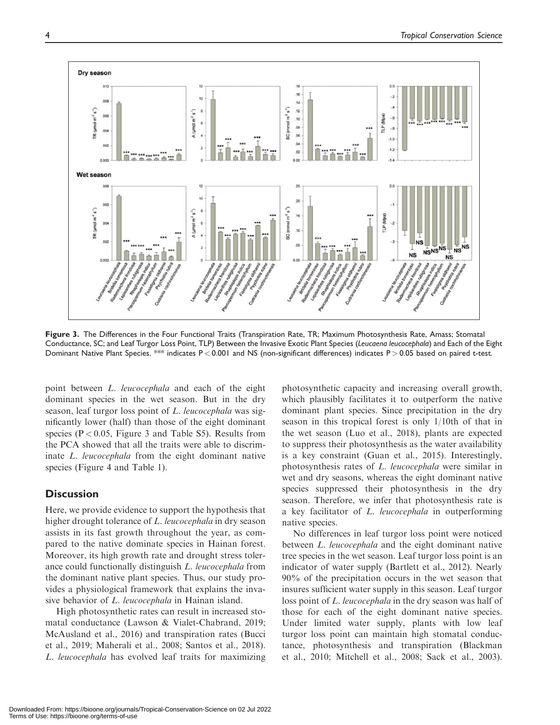

Figure 3. The Differences in the Four Functional Traits (Transpiration Rate, TR; Maximum Photosynthesis Rate, Amass; Stomatal Conductance, SC; and Leaf Turgor Loss Point, TLP) Between the Invasive Exotic Plant Species (Leucaena leucocephala) and Each of the Eight Dominant Native Plant Species. \*\* indicates P < 0.001 and NS (non-significant differences) indicates P > 0.05 based on paired t-test.

point between L. leucocephala and each of the eight dominant species in the wet season. But in the dry season, leaf turgor loss point of L. leucocephala was significantly lower (half) than those of the eight dominant species ( $P < 0.05$ , Figure 3 and Table S5). Results from the PCA showed that all the traits were able to discriminate L. leucocephala from the eight dominant native species (Figure 4 and Table 1).

## **Discussion**

Here, we provide evidence to support the hypothesis that higher drought tolerance of L. leucocephala in dry season assists in its fast growth throughout the year, as compared to the native dominate species in Hainan forest. Moreover, its high growth rate and drought stress tolerance could functionally distinguish L. leucocephala from the dominant native plant species. Thus, our study provides a physiological framework that explains the invasive behavior of L. leucocephala in Hainan island.

High photosynthetic rates can result in increased stomatal conductance (Lawson & Vialet-Chabrand, 2019; McAusland et al., 2016) and transpiration rates (Bucci et al., 2019; Maherali et al., 2008; Santos et al., 2018). L. leucocephala has evolved leaf traits for maximizing

photosynthetic capacity and increasing overall growth, which plausibly facilitates it to outperform the native dominant plant species. Since precipitation in the dry season in this tropical forest is only 1/10th of that in the wet season (Luo et al., 2018), plants are expected to suppress their photosynthesis as the water availability is a key constraint (Guan et al., 2015). Interestingly, photosynthesis rates of L. leucocephala were similar in wet and dry seasons, whereas the eight dominant native species suppressed their photosynthesis in the dry season. Therefore, we infer that photosynthesis rate is a key facilitator of L. leucocephala in outperforming native species.

No differences in leaf turgor loss point were noticed between *L. leucocephala* and the eight dominant native tree species in the wet season. Leaf turgor loss point is an indicator of water supply (Bartlett et al., 2012). Nearly 90% of the precipitation occurs in the wet season that insures sufficient water supply in this season. Leaf turgor loss point of L. leucocephala in the dry season was half of those for each of the eight dominant native species. Under limited water supply, plants with low leaf turgor loss point can maintain high stomatal conductance, photosynthesis and transpiration (Blackman et al., 2010; Mitchell et al., 2008; Sack et al., 2003).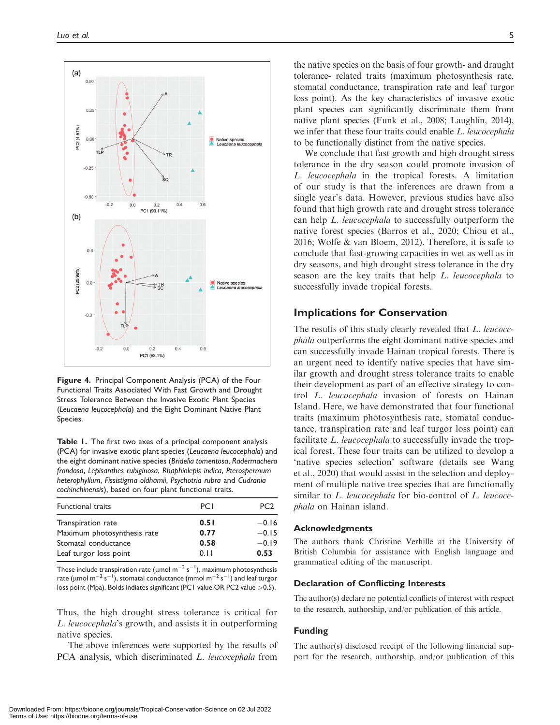

Figure 4. Principal Component Analysis (PCA) of the Four Functional Traits Associated With Fast Growth and Drought Stress Tolerance Between the Invasive Exotic Plant Species (Leucaena leucocephala) and the Eight Dominant Native Plant Species.

Table 1. The first two axes of a principal component analysis (PCA) for invasive exotic plant species (Leucaena leucocephala) and the eight dominant native species (Bridelia tomentosa, Radermachera frondosa, Lepisanthes rubiginosa, Rhaphiolepis indica, Pterospermum heterophyllum, Fissistigma oldhamii, Psychotria rubra and Cudrania cochinchinensis), based on four plant functional traits.

| <b>PCI</b> | PC <sub>2</sub> |
|------------|-----------------|
| 0.51       | $-0.16$         |
| 0.77       | $-0.15$         |
| 0.58       | $-0.19$         |
| 0.11       | 0.53            |
|            |                 |

These include transpiration rate (µmol m $^{-2}$  s $^{-1}$ ), maximum photosynthesis rate (µmol m $^{-2}$  s $^{-1}$ ), stomatal conductance (mmol m $^{-2}$  s $^{-1})$  and leaf turgor loss point (Mpa). Bolds indiates significant (PC1 value OR PC2 value > 0.5).

Thus, the high drought stress tolerance is critical for L. leucocephala's growth, and assists it in outperforming native species.

The above inferences were supported by the results of PCA analysis, which discriminated *L. leucocephala* from

the native species on the basis of four growth- and draught tolerance- related traits (maximum photosynthesis rate, stomatal conductance, transpiration rate and leaf turgor loss point). As the key characteristics of invasive exotic plant species can significantly discriminate them from native plant species (Funk et al., 2008; Laughlin, 2014), we infer that these four traits could enable L. leucocephala to be functionally distinct from the native species.

We conclude that fast growth and high drought stress tolerance in the dry season could promote invasion of L. leucocephala in the tropical forests. A limitation of our study is that the inferences are drawn from a single year's data. However, previous studies have also found that high growth rate and drought stress tolerance can help L. leucocephala to successfully outperform the native forest species (Barros et al., 2020; Chiou et al., 2016; Wolfe & van Bloem, 2012). Therefore, it is safe to conclude that fast-growing capacities in wet as well as in dry seasons, and high drought stress tolerance in the dry season are the key traits that help L. leucocephala to successfully invade tropical forests.

## Implications for Conservation

The results of this study clearly revealed that L. leucocephala outperforms the eight dominant native species and can successfully invade Hainan tropical forests. There is an urgent need to identify native species that have similar growth and drought stress tolerance traits to enable their development as part of an effective strategy to control L. leucocephala invasion of forests on Hainan Island. Here, we have demonstrated that four functional traits (maximum photosynthesis rate, stomatal conductance, transpiration rate and leaf turgor loss point) can facilitate *L. leucocephala* to successfully invade the tropical forest. These four traits can be utilized to develop a 'native species selection' software (details see Wang et al., 2020) that would assist in the selection and deployment of multiple native tree species that are functionally similar to L. leucocephala for bio-control of L. leucocephala on Hainan island.

#### Acknowledgments

The authors thank Christine Verhille at the University of British Columbia for assistance with English language and grammatical editing of the manuscript.

#### Declaration of Conflicting Interests

The author(s) declare no potential conflicts of interest with respect to the research, authorship, and/or publication of this article.

## Funding

The author(s) disclosed receipt of the following financial support for the research, authorship, and/or publication of this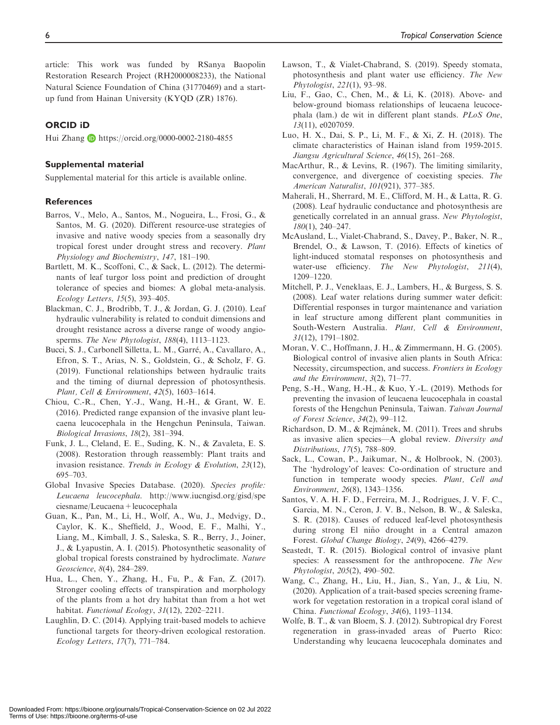article: This work was funded by RSanya Baopolin Restoration Research Project (RH2000008233), the National Natural Science Foundation of China (31770469) and a startup fund from Hainan University (KYQD (ZR) 1876).

## ORCID iD

Hui Zhang **b** <https://orcid.org/0000-0002-2180-4855>

## Supplemental material

Supplemental material for this article is available online.

#### **References**

- Barros, V., Melo, A., Santos, M., Nogueira, L., Frosi, G., & Santos, M. G. (2020). Different resource-use strategies of invasive and native woody species from a seasonally dry tropical forest under drought stress and recovery. Plant Physiology and Biochemistry, 147, 181–190.
- Bartlett, M. K., Scoffoni, C., & Sack, L. (2012). The determinants of leaf turgor loss point and prediction of drought tolerance of species and biomes: A global meta-analysis. Ecology Letters, 15(5), 393–405.
- Blackman, C. J., Brodribb, T. J., & Jordan, G. J. (2010). Leaf hydraulic vulnerability is related to conduit dimensions and drought resistance across a diverse range of woody angiosperms. The New Phytologist, 188(4), 1113-1123.
- Bucci, S. J., Carbonell Silletta, L. M., Garre, A., Cavallaro, A., Efron, S. T., Arias, N. S., Goldstein, G., & Scholz, F. G. (2019). Functional relationships between hydraulic traits and the timing of diurnal depression of photosynthesis. Plant, Cell & Environment, 42(5), 1603–1614.
- Chiou, C.-R., Chen, Y.-J., Wang, H.-H., & Grant, W. E. (2016). Predicted range expansion of the invasive plant leucaena leucocephala in the Hengchun Peninsula, Taiwan. Biological Invasions, 18(2), 381–394.
- Funk, J. L., Cleland, E. E., Suding, K. N., & Zavaleta, E. S. (2008). Restoration through reassembly: Plant traits and invasion resistance. Trends in Ecology & Evolution, 23(12), 695–703.
- Global Invasive Species Database. (2020). Species profile: Leucaena leucocephala. [http://www.iucngisd.org/gisd/spe](http://www.iucngisd.org/gisd/speciesname/Leucaena+leucocephala) [ciesname/Leucaena+leucocephala](http://www.iucngisd.org/gisd/speciesname/Leucaena+leucocephala)
- Guan, K., Pan, M., Li, H., Wolf, A., Wu, J., Medvigy, D., Caylor, K. K., Sheffield, J., Wood, E. F., Malhi, Y., Liang, M., Kimball, J. S., Saleska, S. R., Berry, J., Joiner, J., & Lyapustin, A. I. (2015). Photosynthetic seasonality of global tropical forests constrained by hydroclimate. Nature Geoscience, 8(4), 284–289.
- Hua, L., Chen, Y., Zhang, H., Fu, P., & Fan, Z. (2017). Stronger cooling effects of transpiration and morphology of the plants from a hot dry habitat than from a hot wet habitat. Functional Ecology, 31(12), 2202-2211.
- Laughlin, D. C. (2014). Applying trait-based models to achieve functional targets for theory-driven ecological restoration. Ecology Letters, 17(7), 771–784.
- Lawson, T., & Vialet-Chabrand, S. (2019). Speedy stomata, photosynthesis and plant water use efficiency. The New Phytologist, 221(1), 93–98.
- Liu, F., Gao, C., Chen, M., & Li, K. (2018). Above- and below-ground biomass relationships of leucaena leucocephala (lam.) de wit in different plant stands. PLoS One, 13(11), e0207059.
- Luo, H. X., Dai, S. P., Li, M. F., & Xi, Z. H. (2018). The climate characteristics of Hainan island from 1959-2015. Jiangsu Agricultural Science, 46(15), 261–268.
- MacArthur, R., & Levins, R. (1967). The limiting similarity, convergence, and divergence of coexisting species. The American Naturalist, 101(921), 377–385.
- Maherali, H., Sherrard, M. E., Clifford, M. H., & Latta, R. G. (2008). Leaf hydraulic conductance and photosynthesis are genetically correlated in an annual grass. New Phytologist, 180(1), 240–247.
- McAusland, L., Vialet-Chabrand, S., Davey, P., Baker, N. R., Brendel, O., & Lawson, T. (2016). Effects of kinetics of light-induced stomatal responses on photosynthesis and water-use efficiency. The New Phytologist, 211(4), 1209–1220.
- Mitchell, P. J., Veneklaas, E. J., Lambers, H., & Burgess, S. S. (2008). Leaf water relations during summer water deficit: Differential responses in turgor maintenance and variation in leaf structure among different plant communities in South-Western Australia. Plant, Cell & Environment, 31(12), 1791–1802.
- Moran, V. C., Hoffmann, J. H., & Zimmermann, H. G. (2005). Biological control of invasive alien plants in South Africa: Necessity, circumspection, and success. Frontiers in Ecology and the Environment, 3(2), 71–77.
- Peng, S.-H., Wang, H.-H., & Kuo, Y.-L. (2019). Methods for preventing the invasion of leucaena leucocephala in coastal forests of the Hengchun Peninsula, Taiwan. Taiwan Journal of Forest Science, 34(2), 99–112.
- Richardson, D. M., & Rejmánek, M. (2011). Trees and shrubs as invasive alien species—A global review. Diversity and Distributions, 17(5), 788–809.
- Sack, L., Cowan, P., Jaikumar, N., & Holbrook, N. (2003). The 'hydrology'of leaves: Co-ordination of structure and function in temperate woody species. Plant, Cell and Environment, 26(8), 1343–1356.
- Santos, V. A. H. F. D., Ferreira, M. J., Rodrigues, J. V. F. C., Garcia, M. N., Ceron, J. V. B., Nelson, B. W., & Saleska, S. R. (2018). Causes of reduced leaf-level photosynthesis during strong El niño drought in a Central amazon Forest. Global Change Biology, 24(9), 4266–4279.
- Seastedt, T. R. (2015). Biological control of invasive plant species: A reassessment for the anthropocene. The New Phytologist, 205(2), 490–502.
- Wang, C., Zhang, H., Liu, H., Jian, S., Yan, J., & Liu, N. (2020). Application of a trait-based species screening framework for vegetation restoration in a tropical coral island of China. Functional Ecology, 34(6), 1193–1134.
- Wolfe, B. T., & van Bloem, S. J. (2012). Subtropical dry Forest regeneration in grass-invaded areas of Puerto Rico: Understanding why leucaena leucocephala dominates and